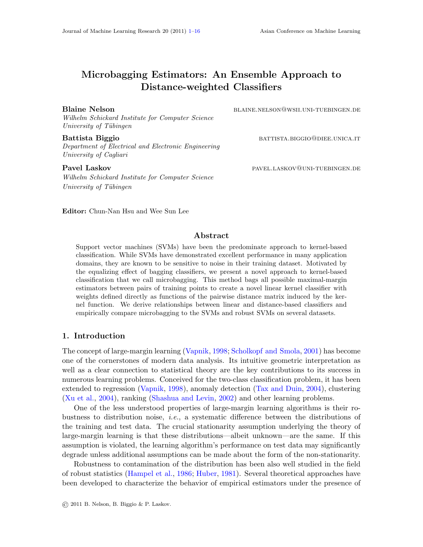# Microbagging Estimators: An Ensemble Approach to Distance-weighted Classifiers

*Wilhelm Schickard Institute for Computer Science University of T¨ubingen*

Battista Biggio battista battista battista battista battista battista battista battista battista battista battista b *Department of Electrical and Electronic Engineering University of Cagliari*

*Wilhelm Schickard Institute for Computer Science University of T¨ubingen*

Blaine Nelson blaine.nelson@wsii.uni-tuebingen.de

Pavel Laskov **pavel.LASKOV PAVEL.LASKOV PAVEL** LASKOV PAVEL.LASKOV PAVEL.LASKOV PAVEL PUEBINGEN.DE

Editor: Chun-Nan Hsu and Wee Sun Lee

# Abstract

Support vector machines (SVMs) have been the predominate approach to kernel-based classification. While SVMs have demonstrated excellent performance in many application domains, they are known to be sensitive to noise in their training dataset. Motivated by the equalizing effect of bagging classifiers, we present a novel approach to kernel-based classification that we call microbagging. This method bags all possible maximal-margin estimators between pairs of training points to create a novel linear kernel classifier with weights defined directly as functions of the pairwise distance matrix induced by the kernel function. We derive relationships between linear and distance-based classifiers and empirically compare microbagging to the SVMs and robust SVMs on several datasets.

# 1. Introduction

The concept of large-margin learning [\(Vapnik](#page-15-1), [1998](#page-15-1); [Scholkopf and Smola](#page-15-2), [2001](#page-15-2)) has become one of the cornerstones of modern data analysis. Its intuitive geometric interpretation as well as a clear connection to statistical theory are the key contributions to its success in numerous learning problems. Conceived for the two-class classification problem, it has been extended to regression [\(Vapnik](#page-15-1), [1998](#page-15-1)), anomaly detection [\(Tax and Duin](#page-15-3), [2004](#page-15-3)), clustering [\(Xu et al.](#page-15-4), [2004\)](#page-15-4), ranking [\(Shashua and Levin](#page-15-5), [2002\)](#page-15-5) and other learning problems.

One of the less understood properties of large-margin learning algorithms is their robustness to distribution noise, *i.e.*, a systematic difference between the distributions of the training and test data. The crucial stationarity assumption underlying the theory of large-margin learning is that these distributions—albeit unknown—are the same. If this assumption is violated, the learning algorithm's performance on test data may significantly degrade unless additional assumptions can be made about the form of the non-stationarity.

Robustness to contamination of the distribution has been also well studied in the field of robust statistics [\(Hampel et al.,](#page-15-6) [1986](#page-15-6); [Huber,](#page-15-7) [1981](#page-15-7)). Several theoretical approaches have been developed to characterize the behavior of empirical estimators under the presence of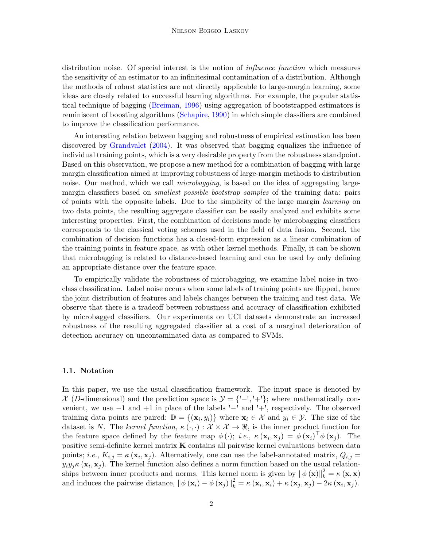distribution noise. Of special interest is the notion of *influence function* which measures the sensitivity of an estimator to an infinitesimal contamination of a distribution. Although the methods of robust statistics are not directly applicable to large-margin learning, some ideas are closely related to successful learning algorithms. For example, the popular statistical technique of bagging [\(Breiman](#page-14-0), [1996](#page-14-0)) using aggregation of bootstrapped estimators is reminiscent of boosting algorithms [\(Schapire,](#page-15-8) [1990](#page-15-8)) in which simple classifiers are combined to improve the classification performance.

An interesting relation between bagging and robustness of empirical estimation has been discovered by [Grandvalet](#page-15-9) [\(2004](#page-15-9)). It was observed that bagging equalizes the influence of individual training points, which is a very desirable property from the robustness standpoint. Based on this observation, we propose a new method for a combination of bagging with large margin classification aimed at improving robustness of large-margin methods to distribution noise. Our method, which we call *microbagging*, is based on the idea of aggregating largemargin classifiers based on *smallest possible bootstrap samples* of the training data: pairs of points with the opposite labels. Due to the simplicity of the large margin *learning* on two data points, the resulting aggregate classifier can be easily analyzed and exhibits some interesting properties. First, the combination of decisions made by microbagging classifiers corresponds to the classical voting schemes used in the field of data fusion. Second, the combination of decision functions has a closed-form expression as a linear combination of the training points in feature space, as with other kernel methods. Finally, it can be shown that microbagging is related to distance-based learning and can be used by only defining an appropriate distance over the feature space.

To empirically validate the robustness of microbagging, we examine label noise in twoclass classification. Label noise occurs when some labels of training points are flipped, hence the joint distribution of features and labels changes between the training and test data. We observe that there is a tradeoff between robustness and accuracy of classification exhibited by microbagged classifiers. Our experiments on UCI datasets demonstrate an increased robustness of the resulting aggregated classifier at a cost of a marginal deterioration of detection accuracy on uncontaminated data as compared to SVMs.

#### 1.1. Notation

In this paper, we use the usual classification framework. The input space is denoted by  $\mathcal{X}$  (D-dimensional) and the prediction space is  $\mathcal{Y} = \{-, +\}$ ; where mathematically convenient, we use −1 and +1 in place of the labels '−' and '+', respectively. The observed training data points are paired:  $\mathbb{D} = \{(\mathbf{x}_i, y_i)\}\$  where  $\mathbf{x}_i \in \mathcal{X}$  and  $y_i \in \mathcal{Y}$ . The size of the dataset is N. The *kernel function*,  $\kappa(\cdot, \cdot): \mathcal{X} \times \mathcal{X} \to \mathbb{R}$ , is the inner product function for the feature space defined by the feature map  $\phi(\cdot)$ ; *i.e.*,  $\kappa(\mathbf{x}_i, \mathbf{x}_j) = \phi(\mathbf{x}_i)^\top \phi(\mathbf{x}_j)$ . The positive semi-definite kernel matrix K contains all pairwise kernel evaluations between data points; *i.e.*,  $K_{i,j} = \kappa (\mathbf{x}_i, \mathbf{x}_j)$ . Alternatively, one can use the label-annotated matrix,  $Q_{i,j} =$  $y_i y_j \kappa (\mathbf{x}_i, \mathbf{x}_j)$ . The kernel function also defines a norm function based on the usual relationships between inner products and norms. This kernel norm is given by  $\|\phi(\mathbf{x})\|_k^2 = \kappa(\mathbf{x}, \mathbf{x})$ and induces the pairwise distance,  $\|\phi(\mathbf{x}_i) - \phi(\mathbf{x}_j)\|_{k}^{2} = \kappa(\mathbf{x}_i, \mathbf{x}_i) + \kappa(\mathbf{x}_j, \mathbf{x}_j) - 2\kappa(\mathbf{x}_i, \mathbf{x}_j).$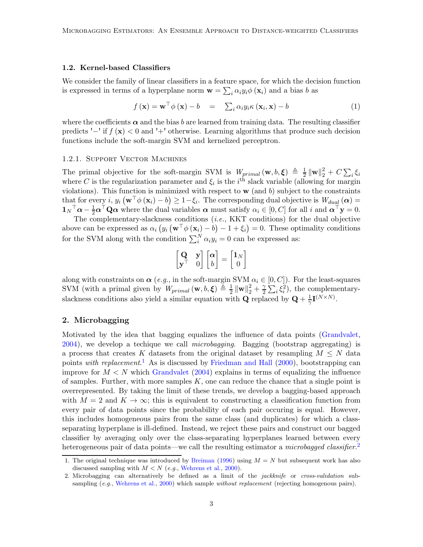#### <span id="page-2-3"></span>1.2. Kernel-based Classifiers

We consider the family of linear classifiers in a feature space, for which the decision function is expressed in terms of a hyperplane norm  $\mathbf{w} = \sum_i \alpha_i y_i \phi(\mathbf{x}_i)$  and a bias b as

<span id="page-2-2"></span>
$$
f(\mathbf{x}) = \mathbf{w}^{\top} \phi(\mathbf{x}) - b = \sum_{i} \alpha_{i} y_{i} \kappa(\mathbf{x}_{i}, \mathbf{x}) - b
$$
 (1)

where the coefficients  $\alpha$  and the bias b are learned from training data. The resulting classifier predicts '−' if *f* (x) < 0 and '+' otherwise. Learning algorithms that produce such decision functions include the soft-margin SVM and kernelized perceptron.

#### 1.2.1. Support Vector Machines

The primal objective for the soft-margin SVM is  $W_{primal}(\mathbf{w}, b, \boldsymbol{\xi}) \triangleq \frac{1}{2}$  $\frac{1}{2}\left\Vert \mathbf{w}\right\Vert _{2}^{2}+C\sum_{i}\xi_{i}$ where C is the regularization parameter and  $\xi_i$  is the i<sup>th</sup> slack variable (allowing for margin violations). This function is minimized with respect to  $\bf{w}$  (and b) subject to the constraints that for every *i*,  $y_i$   $(\mathbf{w}^\top \phi(\mathbf{x}_i) - b) \geq 1 - \xi_i$ . The corresponding dual objective is  $W_{d u}$   $(\boldsymbol{\alpha}) =$  $\mathbf{1}_N^\top \boldsymbol{\alpha} - \frac{1}{2} \boldsymbol{\alpha}^\top \mathbf{Q} \boldsymbol{\alpha}$  where the dual variables  $\boldsymbol{\alpha}$  must satisfy  $\alpha_i \in [0, C]$  for all i and  $\boldsymbol{\alpha}^\top \mathbf{y} = 0$ .

The complementary-slackness conditions (*i.e.*, KKT conditions) for the dual objective above can be expressed as  $\alpha_i \left( y_i \left( \mathbf{w}^\top \phi \left( \mathbf{x}_i \right) - b \right) - 1 + \xi_i \right) = 0$ . These optimality conditions for the SVM along with the condition  $\sum_i^N \alpha_i y_i = 0$  can be expressed as:

$$
\begin{bmatrix} \mathbf{Q} & \mathbf{y} \\ \mathbf{y}^{\top} & 0 \end{bmatrix} \begin{bmatrix} \alpha \\ b \end{bmatrix} = \begin{bmatrix} \mathbf{1}_N \\ 0 \end{bmatrix}
$$

along with constraints on  $\alpha$  (*e.g.*, in the soft-margin SVM  $\alpha_i \in [0, C]$ ). For the least-squares SVM (with a primal given by  $W_{primal}(\mathbf{w}, b, \boldsymbol{\xi}) \triangleq \frac{1}{2}$  $\frac{1}{2} \|\mathbf{w}\|_2^2 + \frac{\gamma}{2}$  $\frac{\gamma}{2} \sum_i \xi_i^2$ , the complementaryslackness conditions also yield a similar equation with **Q** replaced by  $Q + \frac{1}{\gamma}I^{(N \times N)}$ .

#### 2. Microbagging

Motivated by the idea that bagging equalizes the influence of data points [\(Grandvalet](#page-15-9), [2004\)](#page-15-9), we develop a techique we call *microbagging*. Bagging (bootstrap aggregating) is a process that creates K datasets from the original dataset by resampling  $M \leq N$  data points *with replacement*. [1](#page-2-0) As is discussed by [Friedman and Hall](#page-15-10) [\(2000](#page-15-10)), bootstrapping can improve for  $M < N$  which [Grandvalet](#page-15-9) [\(2004](#page-15-9)) explains in terms of equalizing the influence of samples. Further, with more samples  $K$ , one can reduce the chance that a single point is overrepresented. By taking the limit of these trends, we develop a bagging-based approach with  $M = 2$  and  $K \to \infty$ ; this is equivalent to constructing a classification function from every pair of data points since the probability of each pair occuring is equal. However, this includes homogeneous pairs from the same class (and duplicates) for which a classseparating hyperplane is ill-defined. Instead, we reject these pairs and construct our bagged classifier by averaging only over the class-separating hyperplanes learned between every heterogeneous pair of data points—we call the resulting estimator a *microbagged classifier*.<sup>[2](#page-2-1)</sup>

<span id="page-2-0"></span><sup>1.</sup> The original technique was introduced by [Breiman](#page-14-0) [\(1996](#page-14-0)) using  $M = N$  but subsequent work has also discussed sampling with  $M < N$  (e.g., [Wehrens et al.,](#page-15-11) [2000\)](#page-15-11).

<span id="page-2-1"></span><sup>2.</sup> Microbagging can alternatively be defined as a limit of the jackknife or cross-validation sub-sampling (e.g., [Wehrens et al.](#page-15-11), [2000](#page-15-11)) which sample *without replacement* (rejecting homogenous pairs).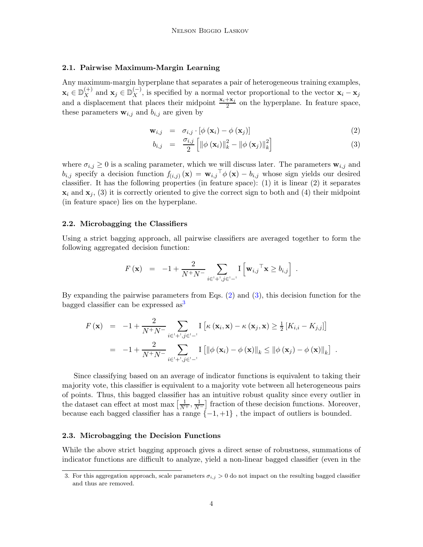# 2.1. Pairwise Maximum-Margin Learning

Any maximum-margin hyperplane that separates a pair of heterogeneous training examples,  $\mathbf{x}_i \in \mathbb{D}_{X}^{(+)}$  $\mathbf{x}_X^{(+)}$  and  $\mathbf{x}_j \in \mathbb{D}_{X}^{(-)}$  $\chi^{(-)}$ , is specified by a normal vector proportional to the vector  $\mathbf{x}_i - \mathbf{x}_j$ and a displacement that places their midpoint  $\frac{x_i + x_j}{2}$  on the hyperplane. In feature space, these parameters  $\mathbf{w}_{i,j}$  and  $b_{i,j}$  are given by

<span id="page-3-0"></span>
$$
\mathbf{w}_{i,j} = \sigma_{i,j} \cdot [\phi(\mathbf{x}_i) - \phi(\mathbf{x}_j)] \tag{2}
$$

$$
b_{i,j} = \frac{\sigma_{i,j}}{2} \left[ \left\| \phi \left( \mathbf{x}_i \right) \right\|_k^2 - \left\| \phi \left( \mathbf{x}_j \right) \right\|_k^2 \right] \tag{3}
$$

where  $\sigma_{i,j} \geq 0$  is a scaling parameter, which we will discuss later. The parameters  $\mathbf{w}_{i,j}$  and  $b_{i,j}$  specify a decision function  $f_{(i,j)}(\mathbf{x}) = \mathbf{w}_{i,j}^\top \phi(\mathbf{x}) - b_{i,j}$  whose sign yields our desired classifier. It has the following properties (in feature space): (1) it is linear (2) it separates  $\mathbf{x}_i$  and  $\mathbf{x}_j$ , (3) it is correctly oriented to give the correct sign to both and (4) their midpoint (in feature space) lies on the hyperplane.

#### 2.2. Microbagging the Classifiers

Using a strict bagging approach, all pairwise classifiers are averaged together to form the following aggregated decision function:

$$
F(\mathbf{x}) = -1 + \frac{2}{N^+N^-} \sum_{i \in \mathcal{I}^+, j \in \mathcal{I}^-} \mathbf{I} \left[ \mathbf{w}_{i,j}^\top \mathbf{x} \ge b_{i,j} \right] .
$$

By expanding the pairwise parameters from Eqs. [\(2\)](#page-3-0) and [\(3\)](#page-3-0), this decision function for the bagged classifier can be expressed  $as<sup>3</sup>$  $as<sup>3</sup>$  $as<sup>3</sup>$ 

$$
F(\mathbf{x}) = -1 + \frac{2}{N^+ N^-} \sum_{i \in \mathcal{I}^+, j \in \mathcal{I}^-} \mathbb{I} \left[ \kappa (\mathbf{x}_i, \mathbf{x}) - \kappa (\mathbf{x}_j, \mathbf{x}) \ge \frac{1}{2} \left[ K_{i,i} - K_{j,j} \right] \right]
$$
  
= -1 +  $\frac{2}{N^+ N^-} \sum_{i \in \mathcal{I}^+, j \in \mathcal{I}^-} \mathbb{I} \left[ \left\| \phi (\mathbf{x}_i) - \phi (\mathbf{x}) \right\|_k \le \left\| \phi (\mathbf{x}_j) - \phi (\mathbf{x}) \right\|_k \right].$ 

Since classifying based on an average of indicator functions is equivalent to taking their majority vote, this classifier is equivalent to a majority vote between all heterogeneous pairs of points. Thus, this bagged classifier has an intuitive robust quality since every outlier in the dataset can effect at most max  $\left[\frac{1}{N^+}, \frac{1}{N^-}\right]$  fraction of these decision functions. Moreover, because each bagged classifier has a range  $\{-1, +1\}$ , the impact of outliers is bounded.

#### 2.3. Microbagging the Decision Functions

While the above strict bagging approach gives a direct sense of robustness, summations of indicator functions are difficult to analyze, yield a non-linear bagged classifier (even in the

<span id="page-3-1"></span><sup>3.</sup> For this aggregation approach, scale parameters  $\sigma_{i,j} > 0$  do not impact on the resulting bagged classifier and thus are removed.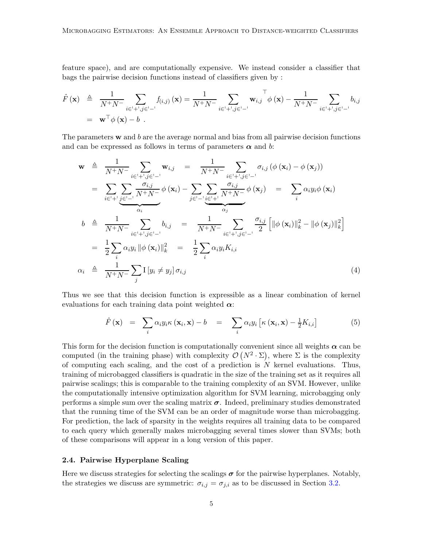feature space), and are computationally expensive. We instead consider a classifier that bags the pairwise decision functions instead of classifiers given by :

$$
\hat{F}(\mathbf{x}) \triangleq \frac{1}{N^+N^-} \sum_{i \in \{+,j\} \in \{+,j\} } f_{(i,j)}(\mathbf{x}) = \frac{1}{N^+N^-} \sum_{i \in \{+,j\} \in \{+,j\} } \mathbf{w}_{i,j} \phi(\mathbf{x}) - \frac{1}{N^+N^-} \sum_{i \in \{+,j\} \in \{+,j\} } b_{i,j}
$$
\n
$$
= \mathbf{w}^\top \phi(\mathbf{x}) - b \ .
$$

The parameters  $\bf{w}$  and  $\bf{b}$  are the average normal and bias from all pairwise decision functions and can be expressed as follows in terms of parameters  $\alpha$  and b:

<span id="page-4-1"></span>
$$
\mathbf{w} \triangleq \frac{1}{N^+N^-} \sum_{i \in \{-\}} \mathbf{w}_{i,j} = \frac{1}{N^+N^-} \sum_{i \in \{-\}} \sigma_{i,j} \left( \phi \left( \mathbf{x}_i \right) - \phi \left( \mathbf{x}_j \right) \right)
$$
\n
$$
= \sum_{i \in \{-\}} \sum_{j \in \{-\}} \frac{\sigma_{i,j}}{N^+N^-} \phi \left( \mathbf{x}_i \right) - \sum_{j \in \{-\}} \sum_{i \in \{-\}} \frac{\sigma_{i,j}}{N^+N^-} \phi \left( \mathbf{x}_j \right) = \sum_{i} \alpha_i y_i \phi \left( \mathbf{x}_i \right)
$$
\n
$$
b \triangleq \frac{1}{N^+N^-} \sum_{i \in \{-\}} \sum_{j \in \{-\}} b_{i,j} = \frac{1}{N^+N^-} \sum_{i \in \{-\}} \frac{\sigma_{i,j}}{\alpha_j}
$$
\n
$$
= \frac{1}{2} \sum_{i} \alpha_i y_i \|\phi \left( \mathbf{x}_i \right)\|_k^2 = \frac{1}{2} \sum_{i} \alpha_i y_i K_{i,i}
$$
\n
$$
\alpha_i \triangleq \frac{1}{N^+N^-} \sum_{j} I \left[ y_i \neq y_j \right] \sigma_{i,j} \tag{4}
$$

Thus we see that this decision function is expressible as a linear combination of kernel evaluations for each training data point weighted  $\alpha$ :

$$
\hat{F}(\mathbf{x}) = \sum_{i} \alpha_{i} y_{i} \kappa(\mathbf{x}_{i}, \mathbf{x}) - b = \sum_{i} \alpha_{i} y_{i} \left[ \kappa(\mathbf{x}_{i}, \mathbf{x}) - \frac{1}{2} K_{i, i} \right]
$$
(5)

This form for the decision function is computationally convenient since all weights  $\alpha$  can be computed (in the training phase) with complexity  $\mathcal{O}(N^2 \cdot \Sigma)$ , where  $\Sigma$  is the complexity of computing each scaling, and the cost of a prediction is  $N$  kernel evaluations. Thus, training of microbagged classifiers is quadratic in the size of the training set as it requires all pairwise scalings; this is comparable to the training complexity of an SVM. However, unlike the computationally intensive optimization algorithm for SVM learning, microbagging only performs a simple sum over the scaling matrix  $\sigma$ . Indeed, preliminary studies demonstrated that the running time of the SVM can be an order of magnitude worse than microbagging. For prediction, the lack of sparsity in the weights requires all training data to be compared to each query which generally makes microbagging several times slower than SVMs; both of these comparisons will appear in a long version of this paper.

# <span id="page-4-0"></span>2.4. Pairwise Hyperplane Scaling

Here we discuss strategies for selecting the scalings  $\sigma$  for the pairwise hyperplanes. Notably, the strategies we discuss are symmetric:  $\sigma_{i,j} = \sigma_{j,i}$  as to be discussed in Section [3.2.](#page-6-0)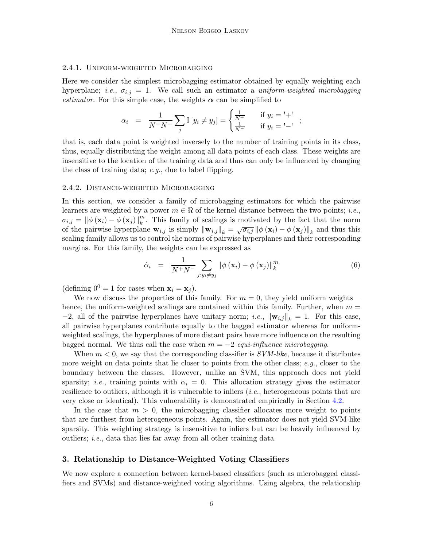### 2.4.1. Uniform-weighted Microbagging

Here we consider the simplest microbagging estimator obtained by equally weighting each hyperplane; *i.e.*,  $\sigma_{i,j} = 1$ . We call such an estimator a *uniform-weighted microbagging estimator*. For this simple case, the weights  $\alpha$  can be simplified to

$$
\alpha_i = \frac{1}{N^+N^-} \sum_j I[y_i \neq y_j] = \begin{cases} \frac{1}{N^+} & \text{if } y_i = ' +' \\ \frac{1}{N^-} & \text{if } y_i = ' -' \end{cases};
$$

that is, each data point is weighted inversely to the number of training points in its class, thus, equally distributing the weight among all data points of each class. These weights are insensitive to the location of the training data and thus can only be influenced by changing the class of training data; *e.g.*, due to label flipping.

#### 2.4.2. Distance-weighted Microbagging

In this section, we consider a family of microbagging estimators for which the pairwise learners are weighted by a power  $m \in \Re$  of the kernel distance between the two points; *i.e.*,  $\sigma_{i,j} = \left\|\phi\left(\mathbf{x}_i\right) - \phi\left(\mathbf{x}_j\right)\right\|_k^m$  $\binom{m}{k}$ . This family of scalings is motivated by the fact that the norm of the pairwise hyperplane  $\mathbf{w}_{i,j}$  is simply  $\|\mathbf{w}_{i,j}\|_k = \sqrt{\sigma_{i,j}} \|\phi(\mathbf{x}_i) - \phi(\mathbf{x}_j)\|_k$  and thus this scaling family allows us to control the norms of pairwise hyperplanes and their corresponding margins. For this family, the weights can be expressed as

$$
\hat{\alpha}_{i} = \frac{1}{N^{+}N^{-}} \sum_{j:y_{i} \neq y_{j}} ||\phi\left(\mathbf{x}_{i}\right) - \phi\left(\mathbf{x}_{j}\right)||_{k}^{m}
$$
\n(6)

(defining  $0^0 = 1$  for cases when  $\mathbf{x}_i = \mathbf{x}_j$ ).

We now discuss the properties of this family. For  $m = 0$ , they yield uniform weights hence, the uniform-weighted scalings are contained within this family. Further, when  $m =$  $-2$ , all of the pairwise hyperplanes have unitary norm; *i.e.*,  $\|\mathbf{w}_{i,j}\|_{k} = 1$ . For this case, all pairwise hyperplanes contribute equally to the bagged estimator whereas for uniformweighted scalings, the hyperplanes of more distant pairs have more influence on the resulting bagged normal. We thus call the case when m = −2 *equi-influence microbagging*.

When m < 0, we say that the corresponding classifier is *SVM-like*, because it distributes more weight on data points that lie closer to points from the other class; *e.g.*, closer to the boundary between the classes. However, unlike an SVM, this approach does not yield sparsity; *i.e.*, training points with  $\alpha_i = 0$ . This allocation strategy gives the estimator resilience to outliers, although it is vulnerable to inliers (*i.e.*, heterogeneous points that are very close or identical). This vulnerability is demonstrated empirically in Section [4.2.](#page-8-0)

In the case that  $m > 0$ , the microbagging classifier allocates more weight to points that are furthest from heterogeneous points. Again, the estimator does not yield SVM-like sparsity. This weighting strategy is insensitive to inliers but can be heavily influenced by outliers; *i.e.*, data that lies far away from all other training data.

### <span id="page-5-0"></span>3. Relationship to Distance-Weighted Voting Classifiers

We now explore a connection between kernel-based classifiers (such as microbagged classifiers and SVMs) and distance-weighted voting algorithms. Using algebra, the relationship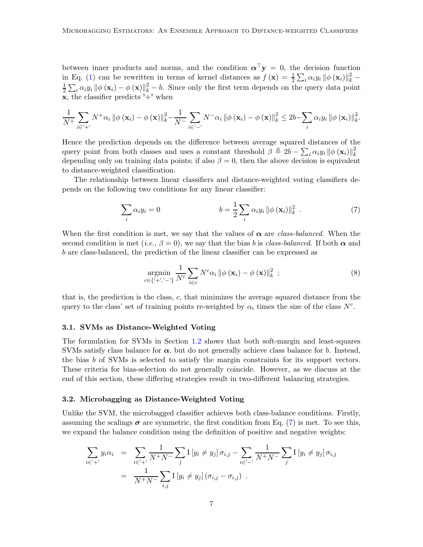between inner products and norms, and the condition  $\alpha^{\top} y = 0$ , the decision function in Eq. [\(1\)](#page-2-2) can be rewritten in terms of kernel distances as  $f(\mathbf{x}) = \frac{1}{2} \sum_i \alpha_i y_i \|\phi(\mathbf{x}_i)\|_k^2$ 1  $\frac{1}{2}\sum_i \alpha_i y_i \|\phi(\mathbf{x}_i) - \phi(\mathbf{x})\|_k^2 - b$ . Since only the first term depends on the query data point  $x$ , the classifier predicts  $'$ +' when

$$
\frac{1}{N^{+}}\sum_{i\in\mathcal{I}^{+}}N^{+}\alpha_{i}\left\|\phi\left(\mathbf{x}_{i}\right)-\phi\left(\mathbf{x}\right)\right\|_{k}^{2}-\frac{1}{N^{-}}\sum_{i\in\mathcal{I}^{-}}N^{-}\alpha_{i}\left\|\phi\left(\mathbf{x}_{i}\right)-\phi\left(\mathbf{x}\right)\right\|_{k}^{2}\leq 2b-\sum_{i}\alpha_{i}y_{i}\left\|\phi\left(\mathbf{x}_{i}\right)\right\|_{k}^{2}.
$$

Hence the prediction depends on the difference between average squared distances of the query point from both classes and uses a constant threshold  $\beta \triangleq 2b - \sum_i \alpha_i y_i ||\phi(\mathbf{x}_i)||_k^2$ k depending only on training data points; if also  $\beta = 0$ , then the above decision is equivalent to distance-weighted classification.

The relationship between linear classifiers and distance-weighted voting classifiers depends on the following two conditions for any linear classifier:

$$
\sum_{i} \alpha_{i} y_{i} = 0 \qquad b = \frac{1}{2} \sum_{i} \alpha_{i} y_{i} ||\phi(\mathbf{x}_{i})||_{k}^{2} . \qquad (7)
$$

When the first condition is met, we say that the values of  $\alpha$  are *class-balanced*. When the second condition is met (*i.e.*,  $\beta = 0$ ), we say that the bias b is *class-balanced*. If both  $\alpha$  and b are class-balanced, the prediction of the linear classifier can be expressed as

<span id="page-6-2"></span><span id="page-6-1"></span>
$$
\underset{c \in \{'+', -'\}}{\operatorname{argmin}} \frac{1}{N^c} \sum_{i \in c} N^c \alpha_i \left\| \phi\left(\mathbf{x}_i\right) - \phi\left(\mathbf{x}\right) \right\|_k^2 \tag{8}
$$

that is, the prediction is the class, c, that minimizes the average squared distance from the query to the class' set of training points re-weighted by  $\alpha_i$  times the size of the class  $N^c$ .

#### 3.1. SVMs as Distance-Weighted Voting

The formulation for SVMs in Section [1.2](#page-2-3) shows that both soft-margin and least-squares SVMs satisfy class balance for  $\alpha$ , but do not generally achieve class balance for b. Instead, the bias b of SVMs is selected to satisfy the margin constraints for its support vectors. These criteria for bias-selection do not generally coincide. However, as we discuss at the end of this section, these differing strategies result in two-different balancing strategies.

# <span id="page-6-0"></span>3.2. Microbagging as Distance-Weighted Voting

Unlike the SVM, the microbagged classifier achieves both class-balance conditions. Firstly, assuming the scalings  $\sigma$  are symmetric, the first condition from Eq. [\(7\)](#page-6-1) is met. To see this, we expand the balance condition using the definition of positive and negative weights:

$$
\sum_{i \in [+] } y_i \alpha_i = \sum_{i \in [+] } \frac{1}{N^+ N^-} \sum_j I \left[ y_i \neq y_j \right] \sigma_{i,j} - \sum_{i \in []} \frac{1}{N^+ N^-} \sum_j I \left[ y_i \neq y_j \right] \sigma_{i,j}
$$
  
= 
$$
\frac{1}{N^+ N^-} \sum_{i,j} I \left[ y_i \neq y_j \right] \left( \sigma_{i,j} - \sigma_{i,j} \right) .
$$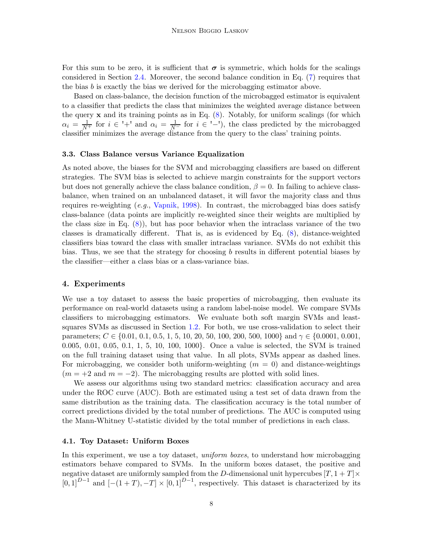For this sum to be zero, it is sufficient that  $\sigma$  is symmetric, which holds for the scalings considered in Section [2.4.](#page-4-0) Moreover, the second balance condition in Eq. [\(7\)](#page-6-1) requires that the bias  $b$  is exactly the bias we derived for the microbagging estimator above.

Based on class-balance, the decision function of the microbagged estimator is equivalent to a classifier that predicts the class that minimizes the weighted average distance between the query  $x$  and its training points as in Eq.  $(8)$ . Notably, for uniform scalings (for which  $\alpha_i = \frac{1}{N^+}$  for  $i \in \lvert + \rvert$  and  $\alpha_i = \frac{1}{N^-}$  for  $i \in \lvert - \rvert$ , the class predicted by the microbagged classifier minimizes the average distance from the query to the class' training points.

#### 3.3. Class Balance versus Variance Equalization

As noted above, the biases for the SVM and microbagging classifiers are based on different strategies. The SVM bias is selected to achieve margin constraints for the support vectors but does not generally achieve the class balance condition,  $\beta = 0$ . In failing to achieve classbalance, when trained on an unbalanced dataset, it will favor the majority class and thus requires re-weighting (*e.g.*, [Vapnik](#page-15-1), [1998](#page-15-1)). In contrast, the microbagged bias does satisfy class-balance (data points are implicitly re-weighted since their weights are multiplied by the class size in Eq.  $(8)$ , but has poor behavior when the intraclass variance of the two classes is dramatically different. That is, as is evidenced by Eq. [\(8\)](#page-6-2), distance-weighted classifiers bias toward the class with smaller intraclass variance. SVMs do not exhibit this bias. Thus, we see that the strategy for choosing b results in different potential biases by the classifier—either a class bias or a class-variance bias.

## <span id="page-7-0"></span>4. Experiments

We use a toy dataset to assess the basic properties of microbagging, then evaluate its performance on real-world datasets using a random label-noise model. We compare SVMs classifiers to microbagging estimators. We evaluate both soft margin SVMs and leastsquares SVMs as discussed in Section [1.2.](#page-2-3) For both, we use cross-validation to select their parameters;  $C \in \{0.01, 0.1, 0.5, 1, 5, 10, 20, 50, 100, 200, 500, 1000\}$  and  $\gamma \in \{0.0001, 0.001, 0.001, 0.001, 0.001, 0.001, 0.001, 0.001, 0.001, 0.001, 0.001, 0.001, 0.001, 0.001, 0.001, 0.001, 0.001, 0.001, 0.001, 0$ 0.005, 0.01, 0.05, 0.1, 1, 5, 10, 100, 1000}. Once a value is selected, the SVM is trained on the full training dataset using that value. In all plots, SVMs appear as dashed lines. For microbagging, we consider both uniform-weighting  $(m = 0)$  and distance-weightings  $(m = +2 \text{ and } m = -2)$ . The microbagging results are plotted with solid lines.

We assess our algorithms using two standard metrics: classification accuracy and area under the ROC curve (AUC). Both are estimated using a test set of data drawn from the same distribution as the training data. The classification accuracy is the total number of correct predictions divided by the total number of predictions. The AUC is computed using the Mann-Whitney U-statistic divided by the total number of predictions in each class.

#### 4.1. Toy Dataset: Uniform Boxes

In this experiment, we use a toy dataset, *uniform boxes*, to understand how microbagging estimators behave compared to SVMs. In the uniform boxes dataset, the positive and negative dataset are uniformly sampled from the D-dimensional unit hypercubes  $[T, 1 + T] \times$  $[0,1]^{D-1}$  and  $[-(1+T), -T] \times [0,1]^{D-1}$ , respectively. This dataset is characterized by its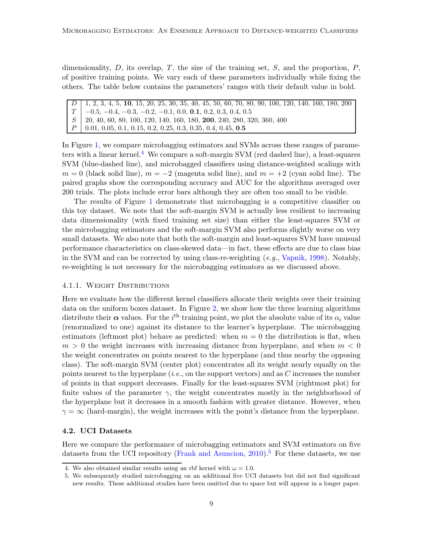dimensionality,  $D$ , its overlap,  $T$ , the size of the training set,  $S$ , and the proportion,  $P$ , of positive training points. We vary each of these parameters individually while fixing the others. The table below contains the parameters' ranges with their default value in bold.

D 1, 2, 3, 4, 5, 10, 15, 20, 25, 30, 35, 40, 45, 50, 60, 70, 80, 90, 100, 120, 140, 160, 180, 200  $T \begin{bmatrix} -0.5, -0.4, -0.3, -0.2, -0.1, 0.0, \mathbf{0.1}, 0.2, 0.3, 0.4, 0.5 \ 20, 40, 60, 80, 100, 120, 140, 160, 180, \mathbf{200}, 240, 280, 320 \end{bmatrix}$ S 20, 40, 60, 80, 100, 120, 140, 160, 180, 200, 240, 280, 320, 360, 400  $P \mid 0.01, 0.05, 0.1, 0.15, 0.2, 0.25, 0.3, 0.35, 0.4, 0.45, 0.5$ 

In Figure [1,](#page-9-0) we compare microbagging estimators and SVMs across these ranges of parameters with a linear kernel.[4](#page-8-1) We compare a soft-margin SVM (red dashed line), a least-squares SVM (blue-dashed line), and microbagged classifiers using distance-weighted scalings with  $m = 0$  (black solid line),  $m = -2$  (magenta solid line), and  $m = +2$  (cyan solid line). The paired graphs show the corresponding accuracy and AUC for the algorithms averaged over 200 trials. The plots include error bars although they are often too small to be visible.

The results of Figure [1](#page-9-0) demonstrate that microbagging is a competitive classifier on this toy dataset. We note that the soft-margin SVM is actually less resilient to increasing data dimensionality (with fixed training set size) than either the least-squares SVM or the microbagging estimators and the soft-margin SVM also performs slightly worse on very small datasets. We also note that both the soft-margin and least-squares SVM have unusual performance characteristics on class-skewed data—in fact, these effects are due to class bias in the SVM and can be corrected by using class-re-weighting (*e.g.*, [Vapnik](#page-15-1), [1998](#page-15-1)). Notably, re-weighting is not necessary for the microbagging estimators as we discussed above.

#### 4.1.1. Weight Distributions

Here we evaluate how the different kernel classifiers allocate their weights over their training data on the uniform boxes dataset. In Figure [2,](#page-10-0) we show how the three learning algorithms distribute their  $\alpha$  values. For the i<sup>th</sup> training point, we plot the absolute value of its  $\alpha_i$  value (renormalized to one) against its distance to the learner's hyperplane. The microbagging estimators (leftmost plot) behave as predicted: when  $m = 0$  the distribution is flat, when  $m > 0$  the weight increases with increasing distance from hyperplane, and when  $m < 0$ the weight concentrates on points nearest to the hyperplane (and thus nearby the opposing class). The soft-margin SVM (center plot) concentrates all its weight nearly equally on the points nearest to the hyperplane (*i.e.*, on the support vectors) and as C increases the number of points in that support decreases. Finally for the least-squares SVM (rightmost plot) for finite values of the parameter  $\gamma$ , the weight concentrates mostly in the neighborhood of the hyperplane but it decreases in a smooth fashion with greater distance. However, when  $\gamma = \infty$  (hard-margin), the weight increases with the point's distance from the hyperplane.

#### <span id="page-8-0"></span>4.2. UCI Datasets

Here we compare the performance of microbagging estimators and SVM estimators on five datasets from the UCI repository [\(Frank and Asuncion,](#page-15-12) [2010](#page-15-12)).<sup>[5](#page-8-2)</sup> For these datasets, we use

<sup>4.</sup> We also obtained similar results using an rbf kernel with  $\omega = 1.0$ .

<span id="page-8-2"></span><span id="page-8-1"></span><sup>5.</sup> We subsequently studied microbagging on an additional five UCI datasets but did not find significant new results. These additional studies have been omitted due to space but will appear in a longer paper.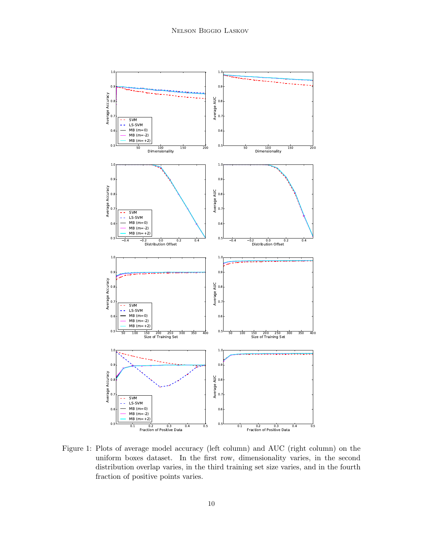

<span id="page-9-0"></span>Figure 1: Plots of average model accuracy (left column) and AUC (right column) on the uniform boxes dataset. In the first row, dimensionality varies, in the second distribution overlap varies, in the third training set size varies, and in the fourth fraction of positive points varies.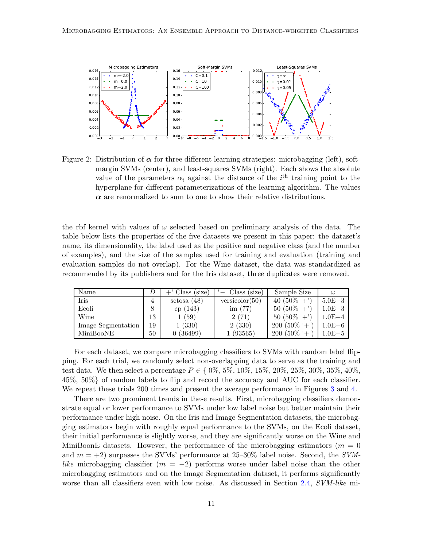

<span id="page-10-0"></span>Figure 2: Distribution of  $\alpha$  for three different learning strategies: microbagging (left), softmargin SVMs (center), and least-squares SVMs (right). Each shows the absolute value of the parameters  $\alpha_i$  against the distance of the i<sup>th</sup> training point to the hyperplane for different parameterizations of the learning algorithm. The values  $\alpha$  are renormalized to sum to one to show their relative distributions.

the rbf kernel with values of  $\omega$  selected based on preliminary analysis of the data. The table below lists the properties of the five datasets we present in this paper: the dataset's name, its dimensionality, the label used as the positive and negative class (and the number of examples), and the size of the samples used for training and evaluation (training and evaluation samples do not overlap). For the Wine dataset, the data was standardized as recommended by its publishers and for the Iris dataset, three duplicates were removed.

| Name               |    | (size)<br>+' Class | $'$ – Class (size) | Sample Size    | $\omega$   |
|--------------------|----|--------------------|--------------------|----------------|------------|
| Iris               | 4  | setosa(48)         | versionor(50)      | 40 $(50\% +$   | $5.0E-3$   |
| Ecoli              |    | cp(143)            | im $(77)$          | $50(50\% +$    | $1.0E - 3$ |
| Wine               | 13 | 1(59)              | 2(71)              | $50(50\% +$    | $1.0E-4$   |
| Image Segmentation | 19 | 1(330)             | 2(330)             | $200(50\% + )$ | $1.0E - 6$ |
| MiniBooNE          | 50 | (36499)            | (93565)            | $200(50\% + )$ | $1.0E - 5$ |

For each dataset, we compare microbagging classifiers to SVMs with random label flipping. For each trial, we randomly select non-overlapping data to serve as the training and test data. We then select a percentage  $P \in \{0\%, 5\%, 10\%, 15\%, 20\%, 25\%, 30\%, 35\%, 40\%$ , 45%, 50%} of random labels to flip and record the accuracy and AUC for each classifier. We repeat these trials 200 times and present the average performance in Figures [3](#page-11-0) and [4.](#page-12-0)

There are two prominent trends in these results. First, microbagging classifiers demonstrate equal or lower performance to SVMs under low label noise but better maintain their performance under high noise. On the Iris and Image Segmentation datasets, the microbagging estimators begin with roughly equal performance to the SVMs, on the Ecoli dataset, their initial performance is slightly worse, and they are significantly worse on the Wine and MiniBoonE datasets. However, the performance of the microbagging estimators ( $m = 0$ ) and m = +2) surpasses the SVMs' performance at 25–30% label noise. Second, the *SVMlike* microbagging classifier  $(m = -2)$  performs worse under label noise than the other microbagging estimators and on the Image Segmentation dataset, it performs significantly worse than all classifiers even with low noise. As discussed in Section [2.4,](#page-4-0) *SVM-like* mi-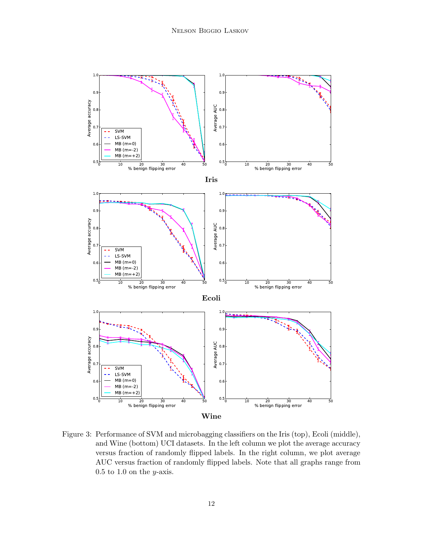

<span id="page-11-0"></span>Figure 3: Performance of SVM and microbagging classifiers on the Iris (top), Ecoli (middle), and Wine (bottom) UCI datasets. In the left column we plot the average accuracy versus fraction of randomly flipped labels. In the right column, we plot average AUC versus fraction of randomly flipped labels. Note that all graphs range from  $0.5$  to  $1.0$  on the *y*-axis.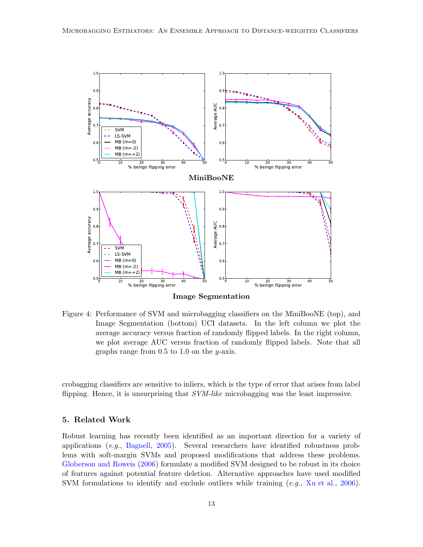

<span id="page-12-0"></span>Figure 4: Performance of SVM and microbagging classifiers on the MiniBooNE (top), and Image Segmentation (bottom) UCI datasets. In the left column we plot the average accuracy versus fraction of randomly flipped labels. In the right column, we plot average AUC versus fraction of randomly flipped labels. Note that all graphs range from  $0.5$  to  $1.0$  on the y-axis.

crobagging classifiers are sensitive to inliers, which is the type of error that arises from label flipping. Hence, it is unsurprising that *SVM-like* microbagging was the least impressive.

# 5. Related Work

Robust learning has recently been identified as an important direction for a variety of applications (*e.g.*, [Bagnell](#page-14-1), [2005](#page-14-1)). Several researchers have identified robustness problems with soft-margin SVMs and proposed modifications that address these problems. [Globerson and Roweis](#page-15-13) [\(2006](#page-15-13)) formulate a modified SVM designed to be robust in its choice of features against potential feature deletion. Alternative approaches have used modified SVM formulations to identify and exclude outliers while training (*e.g.*, [Xu et al.](#page-15-14), [2006\)](#page-15-14).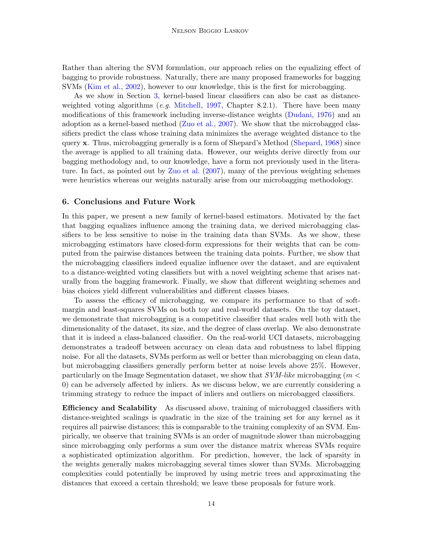Rather than altering the SVM formulation, our approach relies on the equalizing effect of bagging to provide robustness. Naturally, there are many proposed frameworks for bagging SVMs [\(Kim et al.,](#page-15-15) [2002](#page-15-15)), however to our knowledge, this is the first for microbagging.

As we show in Section [3,](#page-5-0) kernel-based linear classifiers can also be cast as distanceweighted voting algorithms (*e.g.* [Mitchell,](#page-15-16) [1997](#page-15-16), Chapter 8.2.1). There have been many modifications of this framework including inverse-distance weights [\(Dudani,](#page-14-2) [1976](#page-14-2)) and an adoption as a kernel-based method [\(Zuo et al.](#page-15-17), [2007\)](#page-15-17). We show that the microbagged classifiers predict the class whose training data minimizes the average weighted distance to the query x. Thus, microbagging generally is a form of Shepard's Method [\(Shepard,](#page-15-18) [1968\)](#page-15-18) since the average is applied to all training data. However, our weights derive directly from our bagging methodology and, to our knowledge, have a form not previously used in the literature. In fact, as pointed out by [Zuo et al.](#page-15-17) [\(2007](#page-15-17)), many of the previous weighting schemes were heuristics whereas our weights naturally arise from our microbagging methodology.

# 6. Conclusions and Future Work

In this paper, we present a new family of kernel-based estimators. Motivated by the fact that bagging equalizes influence among the training data, we derived microbagging classifiers to be less sensitive to noise in the training data than SVMs. As we show, these microbagging estimators have closed-form expressions for their weights that can be computed from the pairwise distances between the training data points. Further, we show that the microbagging classifiers indeed equalize influence over the dataset, and are equivalent to a distance-weighted voting classifiers but with a novel weighting scheme that arises naturally from the bagging framework. Finally, we show that different weighting schemes and bias choices yield different vulnerabilities and different classes biases.

To assess the efficacy of microbagging, we compare its performance to that of softmargin and least-squares SVMs on both toy and real-world datasets. On the toy dataset, we demonstrate that microbagging is a competitive classifier that scales well both with the dimensionality of the dataset, its size, and the degree of class overlap. We also demonstrate that it is indeed a class-balanced classifier. On the real-world UCI datasets, microbagging demonstrates a tradeoff between accuracy on clean data and robustness to label flipping noise. For all the datasets, SVMs perform as well or better than microbagging on clean data, but microbagging classifiers generally perform better at noise levels above 25%. However, particularly on the Image Segmentation dataset, we show that *SVM-like* microbagging (m < 0) can be adversely affected by inliers. As we discuss below, we are currently considering a trimming strategy to reduce the impact of inliers and outliers on microbagged classifiers.

**Efficiency and Scalability** As discussed above, training of microbagged classifiers with distance-weighted scalings is quadratic in the size of the training set for any kernel as it requires all pairwise distances; this is comparable to the training complexity of an SVM. Empirically, we observe that training SVMs is an order of magnitude slower than microbagging since microbagging only performs a sum over the distance matrix whereas SVMs require a sophisticated optimization algorithm. For prediction, however, the lack of sparsity in the weights generally makes microbagging several times slower than SVMs. Microbagging complexities could potentially be improved by using metric trees and approximating the distances that exceed a certain threshold; we leave these proposals for future work.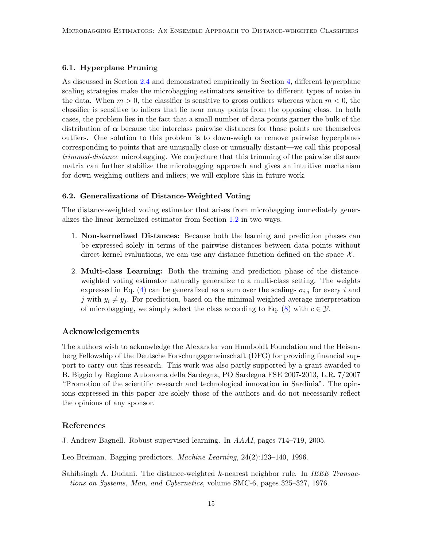# 6.1. Hyperplane Pruning

As discussed in Section [2.4](#page-4-0) and demonstrated empirically in Section [4,](#page-7-0) different hyperplane scaling strategies make the microbagging estimators sensitive to different types of noise in the data. When  $m > 0$ , the classifier is sensitive to gross outliers whereas when  $m < 0$ , the classifier is sensitive to inliers that lie near many points from the opposing class. In both cases, the problem lies in the fact that a small number of data points garner the bulk of the distribution of  $\alpha$  because the interclass pairwise distances for those points are themselves outliers. One solution to this problem is to down-weigh or remove pairwise hyperplanes corresponding to points that are unusually close or unusually distant—we call this proposal *trimmed-distance* microbagging. We conjecture that this trimming of the pairwise distance matrix can further stabilize the microbagging approach and gives an intuitive mechanism for down-weighing outliers and inliers; we will explore this in future work.

#### 6.2. Generalizations of Distance-Weighted Voting

The distance-weighted voting estimator that arises from microbagging immediately generalizes the linear kernelized estimator from Section [1.2](#page-2-3) in two ways.

- 1. Non-kernelized Distances: Because both the learning and prediction phases can be expressed solely in terms of the pairwise distances between data points without direct kernel evaluations, we can use any distance function defined on the space  $\mathcal{X}$ .
- 2. Multi-class Learning: Both the training and prediction phase of the distanceweighted voting estimator naturally generalize to a multi-class setting. The weights expressed in Eq. [\(4\)](#page-4-1) can be generalized as a sum over the scalings  $\sigma_{i,j}$  for every i and j with  $y_i \neq y_j$ . For prediction, based on the minimal weighted average interpretation of microbagging, we simply select the class according to Eq.  $(8)$  with  $c \in \mathcal{Y}$ .

#### Acknowledgements

The authors wish to acknowledge the Alexander von Humboldt Foundation and the Heisenberg Fellowship of the Deutsche Forschungsgemeinschaft (DFG) for providing financial support to carry out this research. This work was also partly supported by a grant awarded to B. Biggio by Regione Autonoma della Sardegna, PO Sardegna FSE 2007-2013, L.R. 7/2007 "Promotion of the scientific research and technological innovation in Sardinia". The opinions expressed in this paper are solely those of the authors and do not necessarily reflect the opinions of any sponsor.

### References

- <span id="page-14-1"></span>J. Andrew Bagnell. Robust supervised learning. In *AAAI*, pages 714–719, 2005.
- <span id="page-14-0"></span>Leo Breiman. Bagging predictors. *Machine Learning*, 24(2):123–140, 1996.
- <span id="page-14-2"></span>Sahibsingh A. Dudani. The distance-weighted k-nearest neighbor rule. In *IEEE Transactions on Systems, Man, and Cybernetics*, volume SMC-6, pages 325–327, 1976.